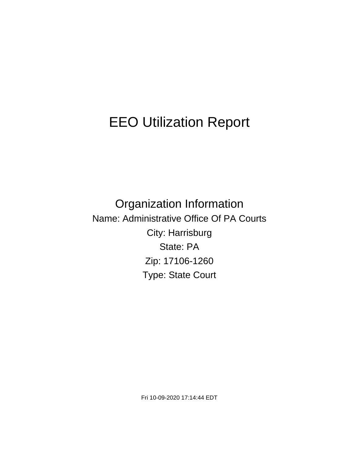# EEO Utilization Report

Organization Information Name: Administrative Office Of PA Courts City: Harrisburg State: PA Zip: 17106-1260 Type: State Court

Fri 10-09-2020 17:14:44 EDT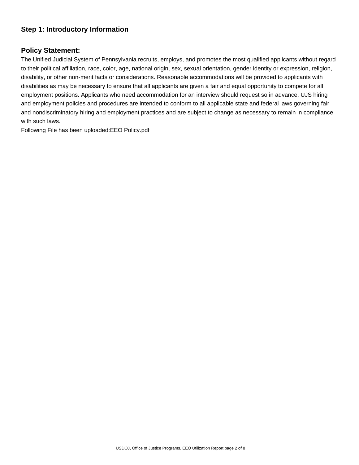# **Step 1: Introductory Information**

## **Policy Statement:**

The Unified Judicial System of Pennsylvania recruits, employs, and promotes the most qualified applicants without regard to their political affiliation, race, color, age, national origin, sex, sexual orientation, gender identity or expression, religion, disability, or other non-merit facts or considerations. Reasonable accommodations will be provided to applicants with disabilities as may be necessary to ensure that all applicants are given a fair and equal opportunity to compete for all employment positions. Applicants who need accommodation for an interview should request so in advance. UJS hiring and employment policies and procedures are intended to conform to all applicable state and federal laws governing fair and nondiscriminatory hiring and employment practices and are subject to change as necessary to remain in compliance with such laws.

Following File has been uploaded:EEO Policy.pdf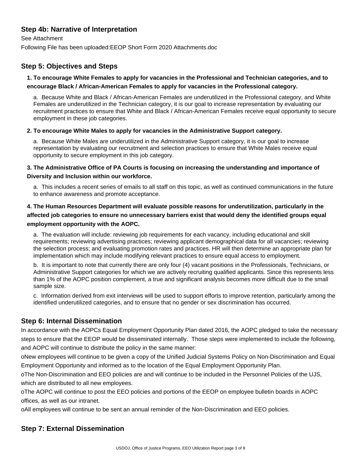# **Step 4b: Narrative of Interpretation**

See Attachment

Following File has been uploaded:EEOP Short Form 2020 Attachments.doc

## **Step 5: Objectives and Steps**

#### **1. To encourage White Females to apply for vacancies in the Professional and Technician categories, and to encourage Black / African-American Females to apply for vacancies in the Professional category.**

a. Because White and Black / African-American Females are underutilized in the Professional category, and White Females are underutilized in the Technician category, it is our goal to increase representation by evaluating our recruitment practices to ensure that White and Black / African-American Females receive equal opportunity to secure employment in these job categories.

#### **2. To encourage White Males to apply for vacancies in the Administrative Support category.**

a. Because White Males are underutilized in the Administrative Support category, it is our goal to increase representation by evaluating our recruitment and selection practices to ensure that White Males receive equal opportunity to secure employment in this job category.

#### **3. The Administrative Office of PA Courts is focusing on increasing the understanding and importance of Diversity and Inclusion within our workforce.**

a. This includes a recent series of emails to all staff on this topic, as well as continued communications in the future to enhance awareness and promote acceptance.

## **4. The Human Resources Department will evaluate possible reasons for underutilization, particularly in the affected job categories to ensure no unnecessary barriers exist that would deny the identified groups equal employment opportunity with the AOPC.**

a. The evaluation will include: reviewing job requirements for each vacancy, including educational and skill requirements; reviewing advertising practices; reviewing applicant demographical data for all vacancies; reviewing the selection process; and evaluating promotion rates and practices. HR will then determine an appropriate plan for implementation which may include modifying relevant practices to ensure equal access to employment.

b. It is important to note that currently there are only four (4) vacant positions in the Professionals, Technicians, or Administrative Support categories for which we are actively recruiting qualified applicants. Since this represents less than 1% of the AOPC position complement, a true and significant analysis becomes more difficult due to the small sample size.

c. Information derived from exit interviews will be used to support efforts to improve retention, particularly among the identified underutilized categories, and to ensure that no gender or sex discrimination has occurred.

## **Step 6: Internal Dissemination**

In accordance with the AOPCs Equal Employment Opportunity Plan dated 2016, the AOPC pledged to take the necessary steps to ensure that the EEOP would be disseminated internally. Those steps were implemented to include the following, and AOPC will continue to distribute the policy in the same manner:

o New employees will continue to be given a copy of the Unified Judicial Systems Policy on Non-Discrimination and Equal Employment Opportunity and informed as to the location of the Equal Employment Opportunity Plan.

o The Non-Discrimination and EEO policies are and will continue to be included in the Personnel Policies of the UJS, which are distributed to all new employees.

o The AOPC will continue to post the EEO policies and portions of the EEOP on employee bulletin boards in AOPC offices, as well as our intranet.

o All employees will continue to be sent an annual reminder of the Non-Discrimination and EEO policies.

# **Step 7: External Dissemination**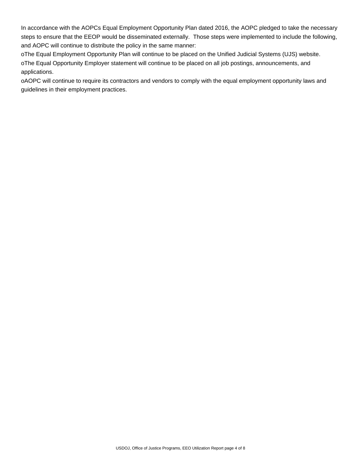In accordance with the AOPCs Equal Employment Opportunity Plan dated 2016, the AOPC pledged to take the necessary steps to ensure that the EEOP would be disseminated externally. Those steps were implemented to include the following, and AOPC will continue to distribute the policy in the same manner:

o The Equal Employment Opportunity Plan will continue to be placed on the Unified Judicial Systems (UJS) website. o The Equal Opportunity Employer statement will continue to be placed on all job postings, announcements, and applications.

o AOPC will continue to require its contractors and vendors to comply with the equal employment opportunity laws and guidelines in their employment practices.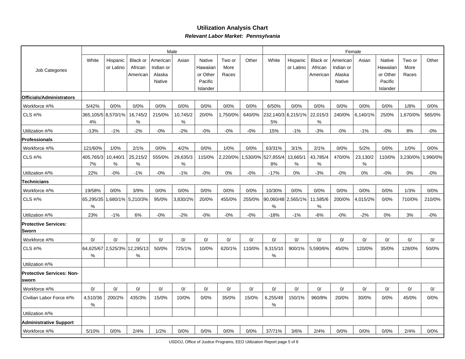## **Utilization Analysis ChartRelevant Labor Market: Pennsylvania**

|                                           |                 |                              |                                 |                                 | Male          |                                |                         |        | Female                   |                       |                                 |                                 |               |                                |                         |         |
|-------------------------------------------|-----------------|------------------------------|---------------------------------|---------------------------------|---------------|--------------------------------|-------------------------|--------|--------------------------|-----------------------|---------------------------------|---------------------------------|---------------|--------------------------------|-------------------------|---------|
| Job Categories                            | White           | Hispanic<br>or Latino        | Black or<br>African<br>American | American<br>Indian or<br>Alaska | Asian         | Native<br>Hawaiian<br>or Other | Two or<br>More<br>Races | Other  | White                    | Hispanic<br>or Latino | Black or<br>African<br>American | American<br>Indian or<br>Alaska | Asian         | Native<br>Hawaiiar<br>or Other | Two or<br>More<br>Races | Other   |
|                                           |                 |                              |                                 | Native                          |               | Pacific<br>Islander            |                         |        |                          |                       |                                 | Native                          |               | Pacific<br>Islander            |                         |         |
| Officials/Administrators                  |                 |                              |                                 |                                 |               |                                |                         |        |                          |                       |                                 |                                 |               |                                |                         |         |
| Workforce #/%                             | 5/42%           | 0/0%                         | 0/0%                            | 0/0%                            | 0/0%          | 0/0%                           | 0/0%                    | 0/0%   | 6/50%                    | 0/0%                  | 0/0%                            | 0/0%                            | 0/0%          | 0/0%                           | 1/8%                    | 0/0%    |
| CLS #/%                                   | 4%              | 365,105/5 8,570/1%           | 16,745/2<br>%                   | 215/0%                          | 10,745/2<br>% | 20/0%                          | 1,750/0%                | 640/0% | 232,140/3 6,215/1%<br>5% |                       | 22,015/3<br>%                   | 240/0%                          | 6,140/1%      | 25/0%                          | ,670/0%                 | 565/0%  |
| Utilization #/%                           | $-13%$          | $-1%$                        | -2%                             | $-0%$                           | $-2%$         | $-0%$                          | $-0%$                   | $-0%$  | 15%                      | $-1%$                 | $-3%$                           | $-0%$                           | $-1%$         | $-0%$                          | 8%                      | $-0\%$  |
| Professionals                             |                 |                              |                                 |                                 |               |                                |                         |        |                          |                       |                                 |                                 |               |                                |                         |         |
| Workforce #/%                             | 121/60%         | 1/0%                         | 2/1%                            | 0/0%                            | 4/2%          | 0/0%                           | 1/0%                    | 0/0%   | 63/31%                   | 3/1%                  | 2/1%                            | 0/0%                            | 5/2%          | 0/0%                           | 1/0%                    | 0/0%    |
| CLS #/%                                   | 405,765/3<br>7% | 10,440/1<br>%                | 25,215/2<br>%                   | 555/0%                          | 29,635/3<br>% | 115/0%                         | 2,220/0%                |        | ,530/0% 527,855/4<br>8%  | 13,665/1<br>%         | 43,785/4<br>%                   | 470/0%                          | 23,130/2<br>% | 110/0%                         | 3,230/0%                | ,990/0% |
| Utilization #/%                           | 22%             | $-0%$                        | $-1%$                           | $-0%$                           | $-1%$         | $-0\%$                         | 0%                      | $-0%$  | $-17%$                   | 0%                    | $-3%$                           | $-0%$                           | 0%            | $-0%$                          | 0%                      | $-0\%$  |
| Technicians                               |                 |                              |                                 |                                 |               |                                |                         |        |                          |                       |                                 |                                 |               |                                |                         |         |
| Workforce #/%                             | 19/58%          | 0/0%                         | 3/9%                            | 0/0%                            | 0/0%          | 0/0%                           | 0/0%                    | 0/0%   | 10/30%                   | 0/0%                  | 0/0%                            | 0/0%                            | 0/0%          | 0/0%                           | 1/3%                    | 0/0%    |
| CLS #/%                                   | 65,295/35<br>%  |                              | 1,680/1% 5,210/3%               | 95/0%                           | 3,830/2%      | 20/0%                          | 455/0%                  | 255/0% | 90,060/48 2,565/1%<br>%  |                       | 11,585/6<br>%                   | 200/0%                          | 4,015/2%      | 0/0%                           | 710/0%                  | 210/0%  |
| Utilization #/%                           | 23%             | $-1%$                        | 6%                              | $-0%$                           | $-2%$         | $-0%$                          | $-0%$                   | $-0%$  | $-18%$                   | $-1%$                 | $-6%$                           | $-0%$                           | $-2%$         | 0%                             | 3%                      | $-0%$   |
| <b>Protective Services:</b><br> Sworn     |                 |                              |                                 |                                 |               |                                |                         |        |                          |                       |                                 |                                 |               |                                |                         |         |
| Workforce #/%                             | 0/              | 0/                           | 0/                              | 0/                              | 0/            | 0/                             | 0/                      | 0/     | 0/                       | 0/                    | 0/                              | 0/                              | 0/            | 0/                             | 0/                      | 0/      |
| CLS #/%                                   | %               | 64,625/67 2,525/3% 12,295/13 | %                               | 50/0%                           | 725/1%        | 10/0%                          | 620/1%                  | 110/0% | 9,315/10<br>%            | 900/1%                | 5,590/6%                        | 45/0%                           | 120/0%        | 35/0%                          | 128/0%                  | 50/0%   |
| Utilization #/%                           |                 |                              |                                 |                                 |               |                                |                         |        |                          |                       |                                 |                                 |               |                                |                         |         |
| <b>Protective Services: Non-</b><br>sworn |                 |                              |                                 |                                 |               |                                |                         |        |                          |                       |                                 |                                 |               |                                |                         |         |
| Workforce #/%                             | 0/              | 0/                           | 0/                              | 0/                              | 0/            | 0/                             | 0/                      | 0/     | 0/                       | 0/                    | 0/                              | 0/                              | 0/            | 0/                             | 0/                      | 0/      |
| Civilian Labor Force #/%                  | 4,510/36<br>%   | 200/2%                       | 435/3%                          | 15/0%                           | 10/0%         | 0/0%                           | 35/0%                   | 15/0%  | 6,255/49<br>%            | 150/1%                | 960/8%                          | 20/0%                           | 30/0%         | 0/0%                           | 45/0%                   | 0/0%    |
| Utilization #/%                           |                 |                              |                                 |                                 |               |                                |                         |        |                          |                       |                                 |                                 |               |                                |                         |         |
| <b>Administrative Support</b>             |                 |                              |                                 |                                 |               |                                |                         |        |                          |                       |                                 |                                 |               |                                |                         |         |
| Workforce #/%                             | 5/10%           | 0/0%                         | 2/4%                            | 1/2%                            | 0/0%          | 0/0%                           | 0/0%                    | 0/0%   | 37/71%                   | 3/6%                  | 2/4%                            | 0/0%                            | 0/0%          | 0/0%                           | 2/4%                    | 0/0%    |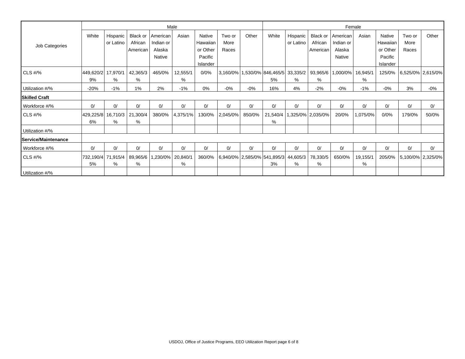|                      |                 |                       |                     |                       | Male          |                     |                | Female |                                                                 |                         |                     |                       |               |                     |                |                   |
|----------------------|-----------------|-----------------------|---------------------|-----------------------|---------------|---------------------|----------------|--------|-----------------------------------------------------------------|-------------------------|---------------------|-----------------------|---------------|---------------------|----------------|-------------------|
|                      | White           | Hispanic<br>or Latino | Black or<br>African | American<br>Indian or | Asian         | Native<br>Hawaiian  | Two or<br>More | Other  | White                                                           | Hispanic  <br>or Latino | Black or<br>African | American<br>Indian or | Asian         | Native<br>Hawaiian  | Two or<br>More | Other             |
| Job Categories       |                 |                       | American            | Alaska                |               | or Other            | Races          |        |                                                                 |                         | American            | Alaska                |               | or Other            | Races          |                   |
|                      |                 |                       |                     | Native                |               | Pacific<br>Islander |                |        |                                                                 |                         |                     | Native                |               | Pacific<br>Islander |                |                   |
| <b>CLS #/%</b>       | 449,620/2<br>9% | 17,970/1<br>%         | 42,365/3<br>%       | 465/0%                | 12,555/1<br>% | 0/0%                |                |        | 3,160/0%   1,530/0%   846,465/5   33,335/2   93,965/6   1<br>5% | %                       | %                   | ,000/0%               | 16,945/1<br>% | 125/0%              |                | 6,525/0% 2,615/0% |
| Utilization #/%      | $-20%$          | $-1%$                 | 1%                  | 2%                    | $-1%$         | 0%                  | $-0%$          | $-0%$  | 16%                                                             | 4%                      | $-2%$               | $-0%$                 | $-1%$         | $-0%$               | 3%             | -0%               |
| <b>Skilled Craft</b> |                 |                       |                     |                       |               |                     |                |        |                                                                 |                         |                     |                       |               |                     |                |                   |
| Workforce #/%        | 0/              | 0/                    | 0/                  | 0/                    | 0/            | 0/                  | 0/             | 0/     | 0/                                                              | 0/                      | 0/                  | 0/                    | 0/            | 0/                  | 0/             | 0/                |
| $CLS$ #/%            | 429,225/8<br>6% | 16,710/3<br>%         | 21,300/4<br>%       | 380/0%                | $ 4,375/1\% $ | 130/0%              | $ 2,045/0\% $  | 850/0% | 21,540/4<br>%                                                   |                         | ,325/0%   2,035/0%  | 20/0%                 | 1,075/0%      | 0/0%                | 179/0%         | 50/0%             |
| Utilization #/%      |                 |                       |                     |                       |               |                     |                |        |                                                                 |                         |                     |                       |               |                     |                |                   |
| Service/Maintenance  |                 |                       |                     |                       |               |                     |                |        |                                                                 |                         |                     |                       |               |                     |                |                   |
| Workforce #/%        | 0/              | 0/                    | 0/                  | 0/                    | 0/            | 0/                  | 0/             | 0/     | 0/                                                              | 0/                      | 0/                  | 0/                    | 0/            | 0/                  | 0/             | 0/                |
| CLS $\#$ /%          | 732,190/4<br>5% | 71,915/4<br>%         | 89,965/6<br>%       | ,230/0%               | 20,840/1<br>% | 360/0%              |                |        | 6,940/0% 2,585/0% 541,895/3 <br>3%                              | 44,605/3<br>%           | 78,330/5<br>%       | 650/0%                | 19,155/1<br>% | 205/0%              |                | 5,100/0% 2,325/0% |
| Utilization #/%      |                 |                       |                     |                       |               |                     |                |        |                                                                 |                         |                     |                       |               |                     |                |                   |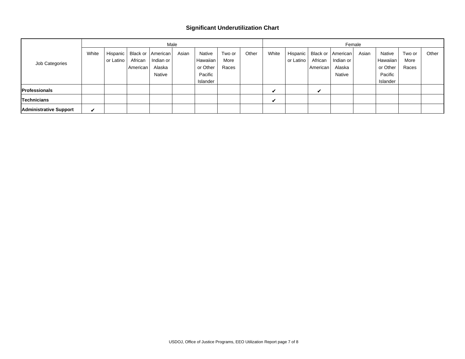#### **Significant Underutilization Chart**

|                               |       | Male      |          |                                               |       |                                 |                |       |             |                         | Female             |                                    |       |                                 |                |       |  |  |
|-------------------------------|-------|-----------|----------|-----------------------------------------------|-------|---------------------------------|----------------|-------|-------------|-------------------------|--------------------|------------------------------------|-------|---------------------------------|----------------|-------|--|--|
| Job Categories                | White | or Latino | African  | Hispanic   Black or   American  <br>Indian or | Asian | Native<br>Hawaiian              | Two or<br>More | Other | White       | Hispanic  <br>or Latino | African            | Black or   American  <br>Indian or | Asian | Native<br>Hawaiian              | Two or<br>More | Other |  |  |
|                               |       |           | American | Alaska<br><b>Native</b>                       |       | or Other<br>Pacific<br>Islander | Races          |       |             |                         | American           | Alaska<br><b>Native</b>            |       | or Other<br>Pacific<br>Islander | Races          |       |  |  |
| <b>Professionals</b>          |       |           |          |                                               |       |                                 |                |       | $\mathbf v$ |                         | $\boldsymbol{\nu}$ |                                    |       |                                 |                |       |  |  |
| <b>Technicians</b>            |       |           |          |                                               |       |                                 |                |       | v           |                         |                    |                                    |       |                                 |                |       |  |  |
| <b>Administrative Support</b> | V     |           |          |                                               |       |                                 |                |       |             |                         |                    |                                    |       |                                 |                |       |  |  |